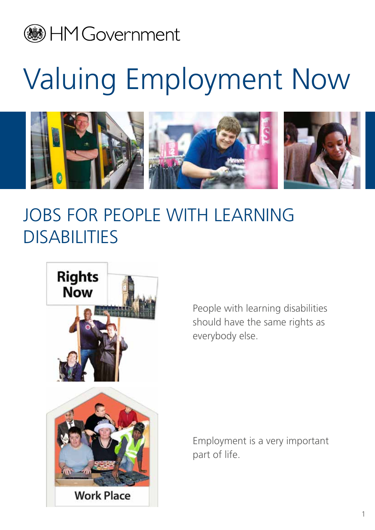## **B** HM Government

## Valuing Employment Now



## JOBS FOR PEOPLE WITH LEARNING **DISABILITIES**



people with learning disabilities should have the same rights as everybody else.

Employment is a very important part of life.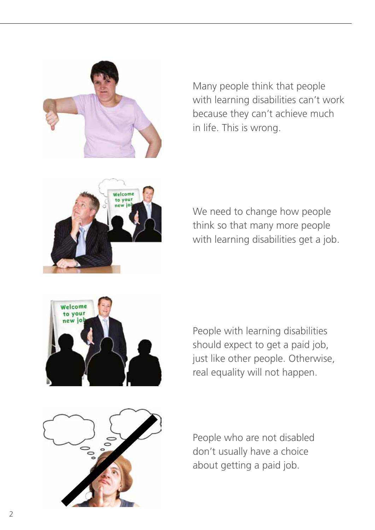

Many people think that people with learning disabilities can't work because they can't achieve much in life. This is wrong.



we need to change how people think so that many more people with learning disabilities get a job.



people with learning disabilities should expect to get a paid job, just like other people. Otherwise, real equality will not happen.



people who are not disabled don't usually have a choice about getting a paid job.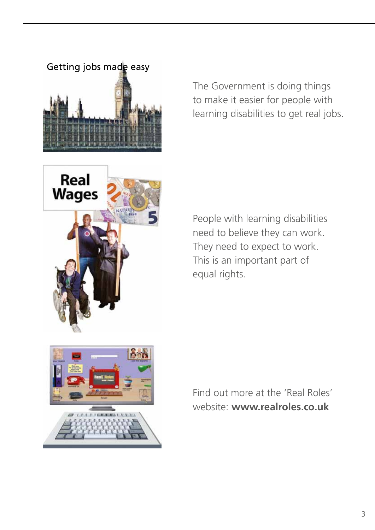

The Government is doing things to make it easier for people with learning disabilities to get real jobs.



people with learning disabilities need to believe they can work. They need to expect to work. This is an important part of equal rights.



Find out more at the 'Real Roles' website: **www.realroles.co.uk**